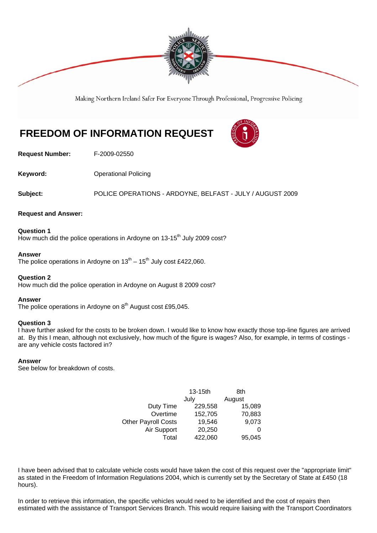

Making Northern Ireland Safer For Everyone Through Professional, Progressive Policing

# **FREEDOM OF INFORMATION REQUEST**



**Request Number:** F-2009-02550

**Keyword: Conservery Operational Policing** 

**Subject:** POLICE OPERATIONS - ARDOYNE, BELFAST - JULY / AUGUST 2009

## **Request and Answer:**

**Question 1**  How much did the police operations in Ardoyne on 13-15<sup>th</sup> July 2009 cost?

## **Answer**

The police operations in Ardoyne on  $13^{th} - 15^{th}$  July cost £422,060.

## **Question 2**

How much did the police operation in Ardoyne on August 8 2009 cost?

## **Answer**

The police operations in Ardoyne on  $8<sup>th</sup>$  August cost £95,045.

## **Question 3**

I have further asked for the costs to be broken down. I would like to know how exactly those top-line figures are arrived at. By this I mean, although not exclusively, how much of the figure is wages? Also, for example, in terms of costings are any vehicle costs factored in?

### **Answer**

See below for breakdown of costs.

|                            | $13-15$ th | 8th    |
|----------------------------|------------|--------|
|                            | July       | August |
| Duty Time                  | 229,558    | 15,089 |
| Overtime                   | 152,705    | 70,883 |
| <b>Other Payroll Costs</b> | 19,546     | 9,073  |
| Air Support                | 20,250     | 0      |
| Total                      | 422,060    | 95,045 |

I have been advised that to calculate vehicle costs would have taken the cost of this request over the "appropriate limit" as stated in the Freedom of Information Regulations 2004, which is currently set by the Secretary of State at £450 (18 hours).

In order to retrieve this information, the specific vehicles would need to be identified and the cost of repairs then estimated with the assistance of Transport Services Branch. This would require liaising with the Transport Coordinators